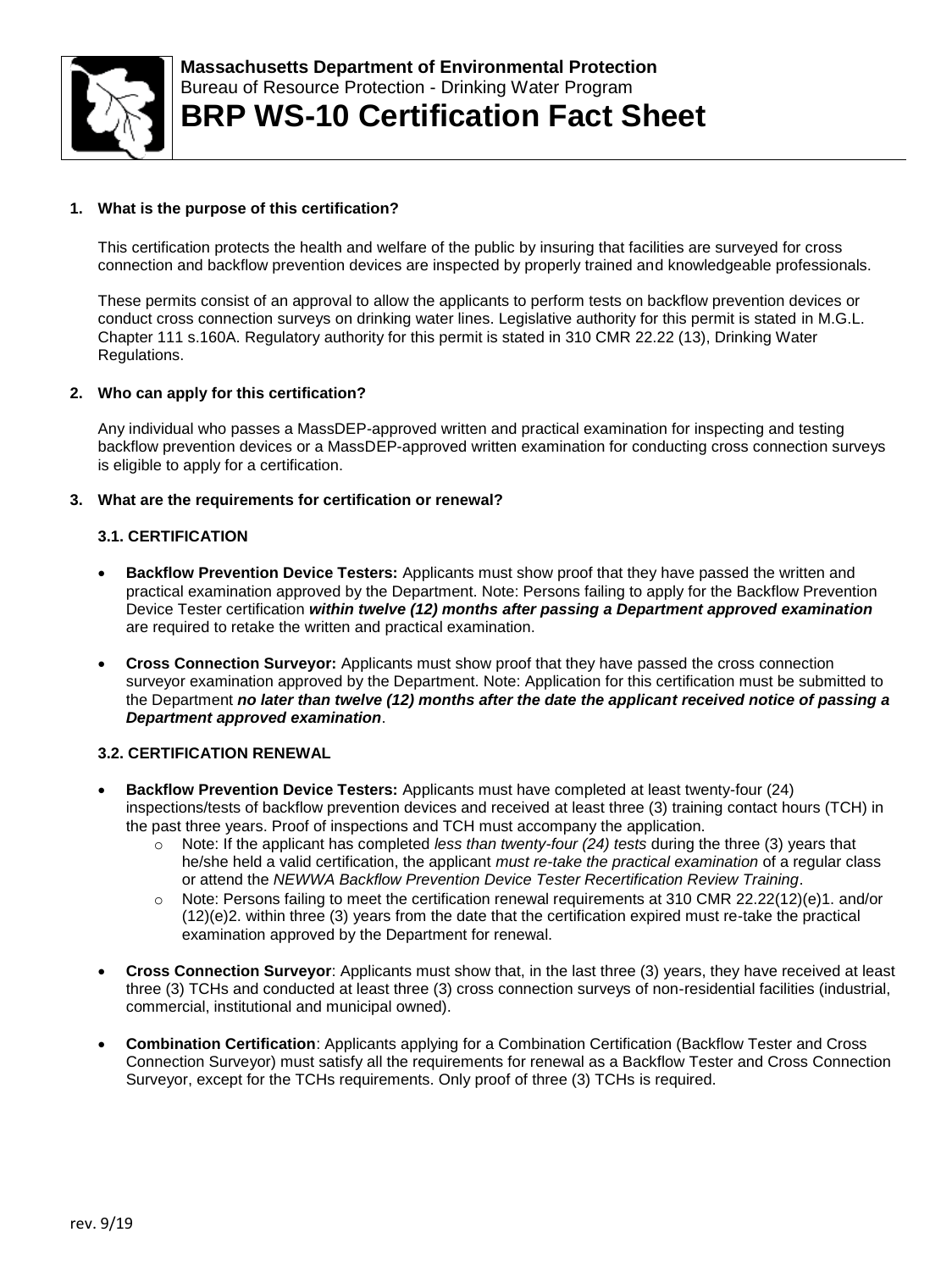

# **1. What is the purpose of this certification?**

This certification protects the health and welfare of the public by insuring that facilities are surveyed for cross connection and backflow prevention devices are inspected by properly trained and knowledgeable professionals.

These permits consist of an approval to allow the applicants to perform tests on backflow prevention devices or conduct cross connection surveys on drinking water lines. Legislative authority for this permit is stated in M.G.L. Chapter 111 s.160A. Regulatory authority for this permit is stated in 310 CMR 22.22 (13), Drinking Water Regulations.

### **2. Who can apply for this certification?**

Any individual who passes a MassDEP-approved written and practical examination for inspecting and testing backflow prevention devices or a MassDEP-approved written examination for conducting cross connection surveys is eligible to apply for a certification.

# **3. What are the requirements for certification or renewal?**

### **3.1. CERTIFICATION**

- **Backflow Prevention Device Testers:** Applicants must show proof that they have passed the written and practical examination approved by the Department. Note: Persons failing to apply for the Backflow Prevention Device Tester certification *within twelve (12) months after passing a Department approved examination* are required to retake the written and practical examination.
- **Cross Connection Surveyor:** Applicants must show proof that they have passed the cross connection surveyor examination approved by the Department. Note: Application for this certification must be submitted to the Department *no later than twelve (12) months after the date the applicant received notice of passing a Department approved examination*.

### **3.2. CERTIFICATION RENEWAL**

- **Backflow Prevention Device Testers:** Applicants must have completed at least twenty-four (24) inspections/tests of backflow prevention devices and received at least three (3) training contact hours (TCH) in the past three years. Proof of inspections and TCH must accompany the application.
	- o Note: If the applicant has completed *less than twenty-four (24) tests* during the three (3) years that he/she held a valid certification, the applicant *must re-take the practical examination* of a regular class or attend the *NEWWA Backflow Prevention Device Tester Recertification Review Training*.
	- $\circ$  Note: Persons failing to meet the certification renewal requirements at 310 CMR 22.22(12)(e)1. and/or (12)(e)2. within three (3) years from the date that the certification expired must re-take the practical examination approved by the Department for renewal.
- **Cross Connection Surveyor**: Applicants must show that, in the last three (3) years, they have received at least three (3) TCHs and conducted at least three (3) cross connection surveys of non-residential facilities (industrial, commercial, institutional and municipal owned).
- **Combination Certification**: Applicants applying for a Combination Certification (Backflow Tester and Cross Connection Surveyor) must satisfy all the requirements for renewal as a Backflow Tester and Cross Connection Surveyor, except for the TCHs requirements. Only proof of three (3) TCHs is required.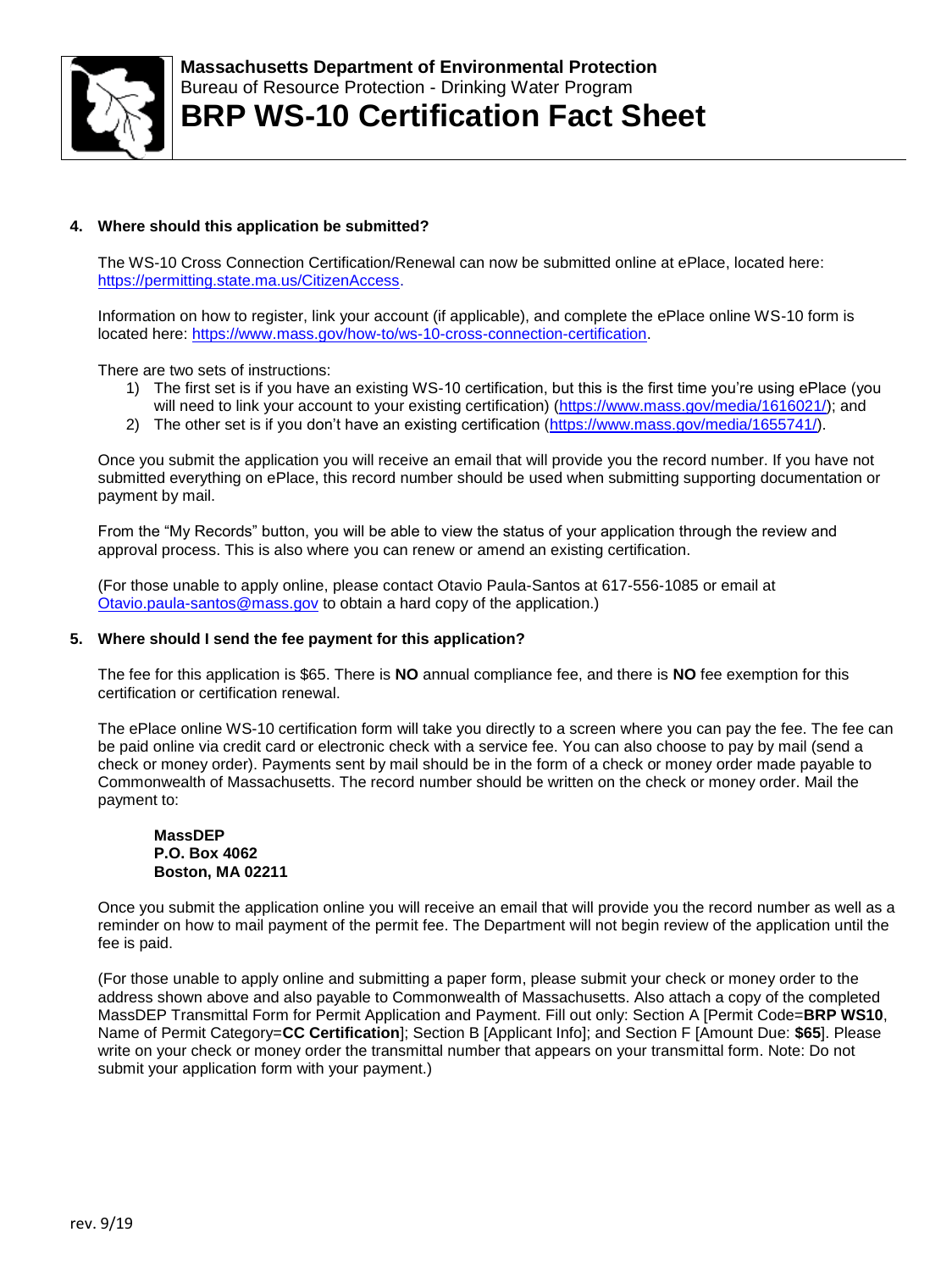

# **4. Where should this application be submitted?**

The WS-10 Cross Connection Certification/Renewal can now be submitted online at ePlace, located here: [https://permitting.state.ma.us/CitizenAccess.](https://permitting.state.ma.us/CitizenAccess)

Information on how to register, link your account (if applicable), and complete the ePlace online WS-10 form is located here: [https://www.mass.gov/how-to/ws-10-cross-connection-certification.](https://www.mass.gov/how-to/ws-10-cross-connection-certification)

There are two sets of instructions:

- 1) The first set is if you have an existing WS-10 certification, but this is the first time you're using ePlace (you will need to link your account to your existing certification) [\(https://www.mass.gov/media/1616021/\)](https://www.mass.gov/media/1616021/); and
- 2) The other set is if you don't have an existing certification [\(https://www.mass.gov/media/1655741/\)](https://www.mass.gov/media/1655741/).

Once you submit the application you will receive an email that will provide you the record number. If you have not submitted everything on ePlace, this record number should be used when submitting supporting documentation or payment by mail.

From the "My Records" button, you will be able to view the status of your application through the review and approval process. This is also where you can renew or amend an existing certification.

(For those unable to apply online, please contact Otavio Paula-Santos at 617-556-1085 or email at [Otavio.paula-santos@mass.gov](mailto:Otavio.paula-santos@mass.gov) to obtain a hard copy of the application.)

### **5. Where should I send the fee payment for this application?**

The fee for this application is \$65. There is **NO** annual compliance fee, and there is **NO** fee exemption for this certification or certification renewal.

The ePlace online WS-10 certification form will take you directly to a screen where you can pay the fee. The fee can be paid online via credit card or electronic check with a service fee. You can also choose to pay by mail (send a check or money order). Payments sent by mail should be in the form of a check or money order made payable to Commonwealth of Massachusetts. The record number should be written on the check or money order. Mail the payment to:

#### **MassDEP P.O. Box 4062 Boston, MA 02211**

Once you submit the application online you will receive an email that will provide you the record number as well as a reminder on how to mail payment of the permit fee. The Department will not begin review of the application until the fee is paid.

(For those unable to apply online and submitting a paper form, please submit your check or money order to the address shown above and also payable to Commonwealth of Massachusetts. Also attach a copy of the completed MassDEP Transmittal Form for Permit Application and Payment. Fill out only: Section A [Permit Code=**BRP WS10**, Name of Permit Category=**CC Certification**]; Section B [Applicant Info]; and Section F [Amount Due: **\$65**]. Please write on your check or money order the transmittal number that appears on your transmittal form. Note: Do not submit your application form with your payment.)